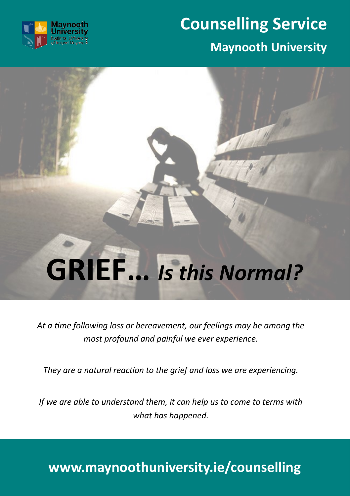

## **Counselling Service**

#### **Maynooth University**

# **GRIEF…** *Is this Normal?*

*At a time following loss or bereavement, our feelings may be among the most profound and painful we ever experience.*

*They are a natural reaction to the grief and loss we are experiencing.*

*If we are able to understand them, it can help us to come to terms with what has happened.*

#### **www.maynoothuniversity.ie/counselling**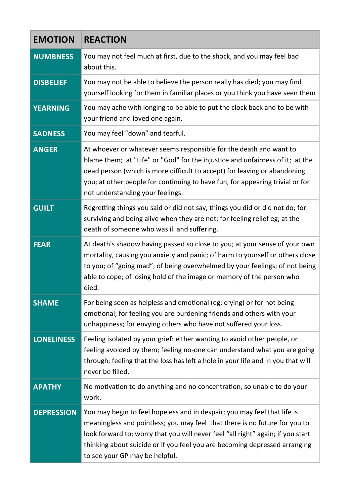| <b>EMOTION</b>    | <b>REACTION</b>                                                                                                                                                                                                                                                                                                                                           |
|-------------------|-----------------------------------------------------------------------------------------------------------------------------------------------------------------------------------------------------------------------------------------------------------------------------------------------------------------------------------------------------------|
| <b>NUMBNESS</b>   | You may not feel much at first, due to the shock, and you may feel bad<br>about this.                                                                                                                                                                                                                                                                     |
| <b>DISBELIEF</b>  | You may not be able to believe the person really has died; you may find<br>yourself looking for them in familiar places or you think you have seen them                                                                                                                                                                                                   |
| <b>YEARNING</b>   | You may ache with longing to be able to put the clock back and to be with<br>your friend and loved one again.                                                                                                                                                                                                                                             |
| <b>SADNESS</b>    | You may feel "down" and tearful.                                                                                                                                                                                                                                                                                                                          |
| <b>ANGER</b>      | At whoever or whatever seems responsible for the death and want to<br>blame them; at "Life" or "God" for the injustice and unfairness of it; at the<br>dead person (which is more difficult to accept) for leaving or abandoning<br>you; at other people for continuing to have fun, for appearing trivial or for<br>not understanding your feelings.     |
| <b>GUILT</b>      | Regretting things you said or did not say, things you did or did not do; for<br>surviving and being alive when they are not; for feeling relief eg; at the<br>death of someone who was ill and suffering.                                                                                                                                                 |
| <b>FEAR</b>       | At death's shadow having passed so close to you; at your sense of your own<br>mortality, causing you anxiety and panic; of harm to yourself or others close<br>to you; of "going mad", of being overwhelmed by your feelings; of not being<br>able to cope; of losing hold of the image or memory of the person who<br>died.                              |
| <b>SHAME</b>      | For being seen as helpless and emotional (eg; crying) or for not being<br>emotional; for feeling you are burdening friends and others with your<br>unhappiness; for envying others who have not suffered your loss.                                                                                                                                       |
| <b>LONELINESS</b> | Feeling isolated by your grief: either wanting to avoid other people, or<br>feeling avoided by them; feeling no-one can understand what you are going<br>through; feeling that the loss has left a hole in your life and in you that will<br>never be filled.                                                                                             |
| <b>APATHY</b>     | No motivation to do anything and no concentration, so unable to do your<br>work.                                                                                                                                                                                                                                                                          |
| <b>DEPRESSION</b> | You may begin to feel hopeless and in despair; you may feel that life is<br>meaningless and pointless; you may feel that there is no future for you to<br>look forward to; worry that you will never feel "all right" again; if you start<br>thinking about suicide or if you feel you are becoming depressed arranging<br>to see your GP may be helpful. |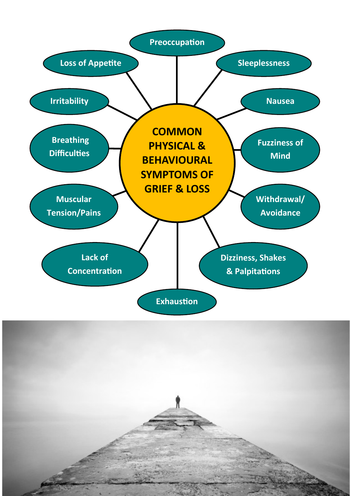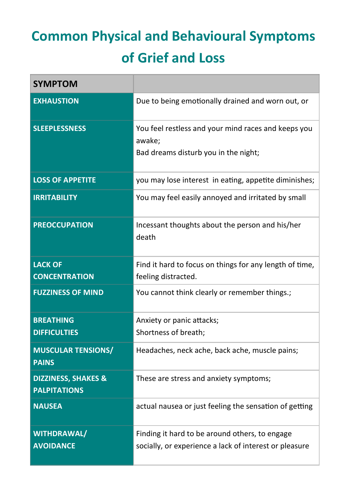### **Common Physical and Behavioural Symptoms of Grief and Loss**

| <b>SYMPTOM</b>                                        |                                                                                                          |
|-------------------------------------------------------|----------------------------------------------------------------------------------------------------------|
| <b>EXHAUSTION</b>                                     | Due to being emotionally drained and worn out, or                                                        |
| <b>SLEEPLESSNESS</b>                                  | You feel restless and your mind races and keeps you<br>awake;<br>Bad dreams disturb you in the night;    |
| <b>LOSS OF APPETITE</b>                               | you may lose interest in eating, appetite diminishes;                                                    |
| <b>IRRITABILITY</b>                                   | You may feel easily annoyed and irritated by small                                                       |
| <b>PREOCCUPATION</b>                                  | Incessant thoughts about the person and his/her<br>death                                                 |
| <b>LACK OF</b><br><b>CONCENTRATION</b>                | Find it hard to focus on things for any length of time,<br>feeling distracted.                           |
| <b>FUZZINESS OF MIND</b>                              | You cannot think clearly or remember things.;                                                            |
| <b>BREATHING</b><br><b>DIFFICULTIES</b>               | Anxiety or panic attacks;<br>Shortness of breath;                                                        |
| <b>MUSCULAR TENSIONS/</b><br><b>PAINS</b>             | Headaches, neck ache, back ache, muscle pains;                                                           |
| <b>DIZZINESS, SHAKES &amp;</b><br><b>PALPITATIONS</b> | These are stress and anxiety symptoms;                                                                   |
| <b>NAUSEA</b>                                         | actual nausea or just feeling the sensation of getting                                                   |
| <b>WITHDRAWAL/</b><br><b>AVOIDANCE</b>                | Finding it hard to be around others, to engage<br>socially, or experience a lack of interest or pleasure |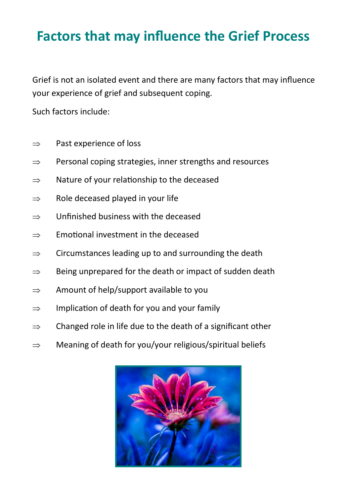#### **Factors that may influence the Grief Process**

Grief is not an isolated event and there are many factors that may influence your experience of grief and subsequent coping.

Such factors include:

- $\Rightarrow$  Past experience of loss
- $\Rightarrow$  Personal coping strategies, inner strengths and resources
- $\Rightarrow$  Nature of your relationship to the deceased
- $\Rightarrow$  Role deceased played in your life
- $\Rightarrow$  Unfinished business with the deceased
- $\Rightarrow$  Emotional investment in the deceased
- $\Rightarrow$  Circumstances leading up to and surrounding the death
- $\Rightarrow$  Being unprepared for the death or impact of sudden death
- $\Rightarrow$  Amount of help/support available to you
- $\Rightarrow$  Implication of death for you and your family
- $\Rightarrow$  Changed role in life due to the death of a significant other
- $\Rightarrow$  Meaning of death for you/your religious/spiritual beliefs

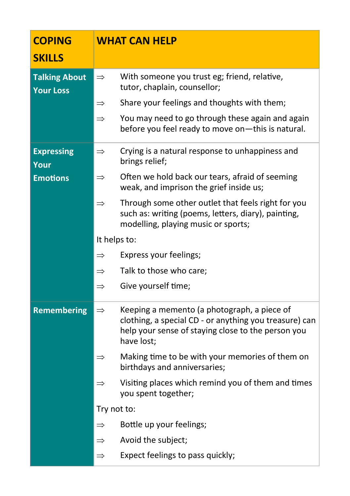| <b>COPING</b><br><b>SKILLS</b>           |               | <b>WHAT CAN HELP</b>                                                                                                                                                      |
|------------------------------------------|---------------|---------------------------------------------------------------------------------------------------------------------------------------------------------------------------|
| <b>Talking About</b><br><b>Your Loss</b> | $\Rightarrow$ | With someone you trust eg; friend, relative,<br>tutor, chaplain, counsellor;                                                                                              |
|                                          | $\Rightarrow$ | Share your feelings and thoughts with them;                                                                                                                               |
|                                          | $\Rightarrow$ | You may need to go through these again and again<br>before you feel ready to move on-this is natural.                                                                     |
| <b>Expressing</b><br>Your                | $\Rightarrow$ | Crying is a natural response to unhappiness and<br>brings relief;                                                                                                         |
| <b>Emotions</b>                          | $\Rightarrow$ | Often we hold back our tears, afraid of seeming<br>weak, and imprison the grief inside us;                                                                                |
|                                          | $\Rightarrow$ | Through some other outlet that feels right for you<br>such as: writing (poems, letters, diary), painting,<br>modelling, playing music or sports;                          |
|                                          | It helps to:  |                                                                                                                                                                           |
|                                          | $\Rightarrow$ | Express your feelings;                                                                                                                                                    |
|                                          | $\Rightarrow$ | Talk to those who care;                                                                                                                                                   |
|                                          | $\Rightarrow$ | Give yourself time;                                                                                                                                                       |
| <b>Remembering</b>                       | $\Rightarrow$ | Keeping a memento (a photograph, a piece of<br>clothing, a special CD - or anything you treasure) can<br>help your sense of staying close to the person you<br>have lost; |
|                                          | $\Rightarrow$ | Making time to be with your memories of them on<br>birthdays and anniversaries;                                                                                           |
|                                          | $\Rightarrow$ | Visiting places which remind you of them and times<br>you spent together;                                                                                                 |
|                                          | Try not to:   |                                                                                                                                                                           |
|                                          | $\Rightarrow$ | Bottle up your feelings;                                                                                                                                                  |
|                                          | $\Rightarrow$ | Avoid the subject;                                                                                                                                                        |
|                                          | $\Rightarrow$ | Expect feelings to pass quickly;                                                                                                                                          |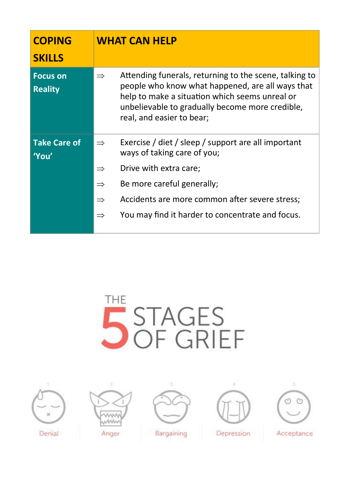| <b>COPING</b><br><b>SKILLS</b>    |               | <b>WHAT CAN HELP</b>                                                                                                                                                                                                                         |
|-----------------------------------|---------------|----------------------------------------------------------------------------------------------------------------------------------------------------------------------------------------------------------------------------------------------|
| <b>Focus on</b><br><b>Reality</b> | $\Rightarrow$ | Attending funerals, returning to the scene, talking to<br>people who know what happened, are all ways that<br>help to make a situation which seems unreal or<br>unbelievable to gradually become more credible,<br>real, and easier to bear; |
| <b>Take Care of</b><br>'You'      | $\Rightarrow$ | Exercise / diet / sleep / support are all important<br>ways of taking care of you;                                                                                                                                                           |
|                                   | $\Rightarrow$ | Drive with extra care;                                                                                                                                                                                                                       |
|                                   | $\Rightarrow$ | Be more careful generally;                                                                                                                                                                                                                   |
|                                   | $\Rightarrow$ | Accidents are more common after severe stress;                                                                                                                                                                                               |
|                                   | $\Rightarrow$ | You may find it harder to concentrate and focus.                                                                                                                                                                                             |